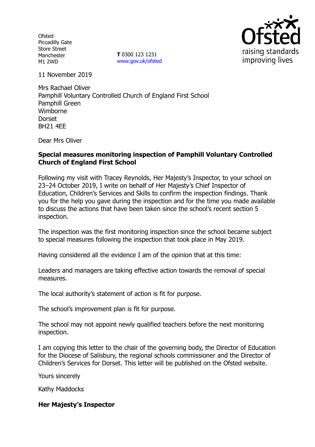**Ofsted** Piccadilly Gate Store Street Manchester M1 2WD

**T** 0300 123 1231 www.gov.uk/ofsted



11 November 2019

Mrs Rachael Oliver Pamphill Voluntary Controlled Church of England First School Pamphill Green Wimborne Dorset BH21 4EE

Dear Mrs Oliver

# **Special measures monitoring inspection of Pamphill Voluntary Controlled Church of England First School**

Following my visit with Tracey Reynolds, Her Majesty's Inspector, to your school on 23–24 October 2019, I write on behalf of Her Majesty's Chief Inspector of Education, Children's Services and Skills to confirm the inspection findings. Thank you for the help you gave during the inspection and for the time you made available to discuss the actions that have been taken since the school's recent section 5 inspection.

The inspection was the first monitoring inspection since the school became subject to special measures following the inspection that took place in May 2019.

Having considered all the evidence I am of the opinion that at this time:

Leaders and managers are taking effective action towards the removal of special measures.

The local authority's statement of action is fit for purpose.

The school's improvement plan is fit for purpose.

The school may not appoint newly qualified teachers before the next monitoring inspection.

I am copying this letter to the chair of the governing body, the Director of Education for the Diocese of Salisbury, the regional schools commissioner and the Director of Children's Services for Dorset. This letter will be published on the Ofsted website.

Yours sincerely

Kathy Maddocks

#### **Her Majesty's Inspector**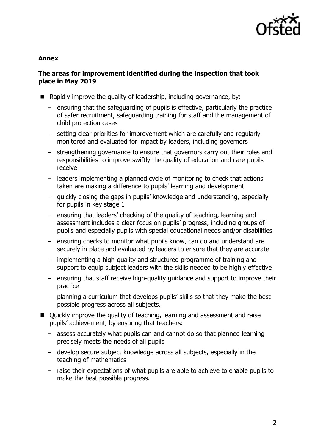

## **Annex**

# **The areas for improvement identified during the inspection that took place in May 2019**

- Rapidly improve the quality of leadership, including governance, by:
	- ensuring that the safeguarding of pupils is effective, particularly the practice of safer recruitment, safeguarding training for staff and the management of child protection cases
	- setting clear priorities for improvement which are carefully and regularly monitored and evaluated for impact by leaders, including governors
	- strengthening governance to ensure that governors carry out their roles and responsibilities to improve swiftly the quality of education and care pupils receive
	- leaders implementing a planned cycle of monitoring to check that actions taken are making a difference to pupils' learning and development
	- quickly closing the gaps in pupils' knowledge and understanding, especially for pupils in key stage 1
	- ensuring that leaders' checking of the quality of teaching, learning and assessment includes a clear focus on pupils' progress, including groups of pupils and especially pupils with special educational needs and/or disabilities
	- ensuring checks to monitor what pupils know, can do and understand are securely in place and evaluated by leaders to ensure that they are accurate
	- implementing a high-quality and structured programme of training and support to equip subject leaders with the skills needed to be highly effective
	- ensuring that staff receive high-quality guidance and support to improve their practice
	- planning a curriculum that develops pupils' skills so that they make the best possible progress across all subjects.
- Quickly improve the quality of teaching, learning and assessment and raise pupils' achievement, by ensuring that teachers:
	- assess accurately what pupils can and cannot do so that planned learning precisely meets the needs of all pupils
	- develop secure subject knowledge across all subjects, especially in the teaching of mathematics
	- raise their expectations of what pupils are able to achieve to enable pupils to make the best possible progress.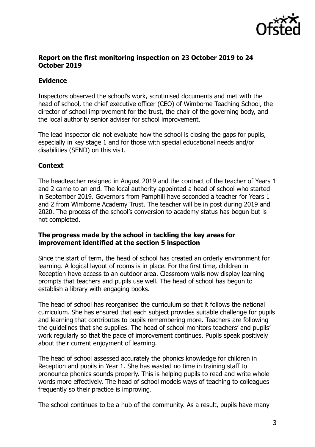

## **Report on the first monitoring inspection on 23 October 2019 to 24 October 2019**

# **Evidence**

Inspectors observed the school's work, scrutinised documents and met with the head of school, the chief executive officer (CEO) of Wimborne Teaching School, the director of school improvement for the trust, the chair of the governing body, and the local authority senior adviser for school improvement.

The lead inspector did not evaluate how the school is closing the gaps for pupils, especially in key stage 1 and for those with special educational needs and/or disabilities (SEND) on this visit.

# **Context**

The headteacher resigned in August 2019 and the contract of the teacher of Years 1 and 2 came to an end. The local authority appointed a head of school who started in September 2019. Governors from Pamphill have seconded a teacher for Years 1 and 2 from Wimborne Academy Trust. The teacher will be in post during 2019 and 2020. The process of the school's conversion to academy status has begun but is not completed.

### **The progress made by the school in tackling the key areas for improvement identified at the section 5 inspection**

Since the start of term, the head of school has created an orderly environment for learning. A logical layout of rooms is in place. For the first time, children in Reception have access to an outdoor area. Classroom walls now display learning prompts that teachers and pupils use well. The head of school has begun to establish a library with engaging books.

The head of school has reorganised the curriculum so that it follows the national curriculum. She has ensured that each subject provides suitable challenge for pupils and learning that contributes to pupils remembering more. Teachers are following the guidelines that she supplies. The head of school monitors teachers' and pupils' work regularly so that the pace of improvement continues. Pupils speak positively about their current enjoyment of learning.

The head of school assessed accurately the phonics knowledge for children in Reception and pupils in Year 1. She has wasted no time in training staff to pronounce phonics sounds properly. This is helping pupils to read and write whole words more effectively. The head of school models ways of teaching to colleagues frequently so their practice is improving.

The school continues to be a hub of the community. As a result, pupils have many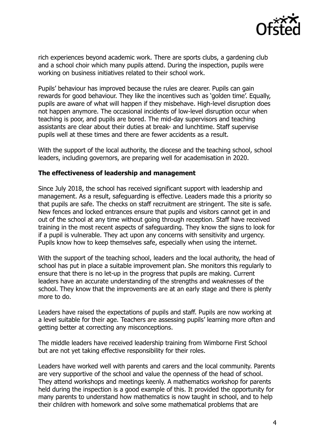

rich experiences beyond academic work. There are sports clubs, a gardening club and a school choir which many pupils attend. During the inspection, pupils were working on business initiatives related to their school work.

Pupils' behaviour has improved because the rules are clearer. Pupils can gain rewards for good behaviour. They like the incentives such as 'golden time'. Equally, pupils are aware of what will happen if they misbehave. High-level disruption does not happen anymore. The occasional incidents of low-level disruption occur when teaching is poor, and pupils are bored. The mid-day supervisors and teaching assistants are clear about their duties at break- and lunchtime. Staff supervise pupils well at these times and there are fewer accidents as a result.

With the support of the local authority, the diocese and the teaching school, school leaders, including governors, are preparing well for academisation in 2020.

### **The effectiveness of leadership and management**

Since July 2018, the school has received significant support with leadership and management. As a result, safeguarding is effective. Leaders made this a priority so that pupils are safe. The checks on staff recruitment are stringent. The site is safe. New fences and locked entrances ensure that pupils and visitors cannot get in and out of the school at any time without going through reception. Staff have received training in the most recent aspects of safeguarding. They know the signs to look for if a pupil is vulnerable. They act upon any concerns with sensitivity and urgency. Pupils know how to keep themselves safe, especially when using the internet.

With the support of the teaching school, leaders and the local authority, the head of school has put in place a suitable improvement plan. She monitors this regularly to ensure that there is no let-up in the progress that pupils are making. Current leaders have an accurate understanding of the strengths and weaknesses of the school. They know that the improvements are at an early stage and there is plenty more to do.

Leaders have raised the expectations of pupils and staff. Pupils are now working at a level suitable for their age. Teachers are assessing pupils' learning more often and getting better at correcting any misconceptions.

The middle leaders have received leadership training from Wimborne First School but are not yet taking effective responsibility for their roles.

Leaders have worked well with parents and carers and the local community. Parents are very supportive of the school and value the openness of the head of school. They attend workshops and meetings keenly. A mathematics workshop for parents held during the inspection is a good example of this. It provided the opportunity for many parents to understand how mathematics is now taught in school, and to help their children with homework and solve some mathematical problems that are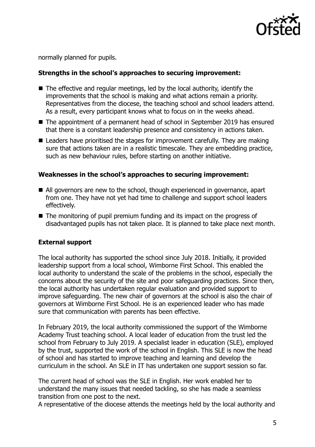

normally planned for pupils.

## **Strengths in the school's approaches to securing improvement:**

- The effective and regular meetings, led by the local authority, identify the improvements that the school is making and what actions remain a priority. Representatives from the diocese, the teaching school and school leaders attend. As a result, every participant knows what to focus on in the weeks ahead.
- The appointment of a permanent head of school in September 2019 has ensured that there is a constant leadership presence and consistency in actions taken.
- Leaders have prioritised the stages for improvement carefully. They are making sure that actions taken are in a realistic timescale. They are embedding practice, such as new behaviour rules, before starting on another initiative.

#### **Weaknesses in the school's approaches to securing improvement:**

- All governors are new to the school, though experienced in governance, apart from one. They have not yet had time to challenge and support school leaders effectively.
- The monitoring of pupil premium funding and its impact on the progress of disadvantaged pupils has not taken place. It is planned to take place next month.

#### **External support**

The local authority has supported the school since July 2018. Initially, it provided leadership support from a local school, Wimborne First School. This enabled the local authority to understand the scale of the problems in the school, especially the concerns about the security of the site and poor safeguarding practices. Since then, the local authority has undertaken regular evaluation and provided support to improve safeguarding. The new chair of governors at the school is also the chair of governors at Wimborne First School. He is an experienced leader who has made sure that communication with parents has been effective.

In February 2019, the local authority commissioned the support of the Wimborne Academy Trust teaching school. A local leader of education from the trust led the school from February to July 2019. A specialist leader in education (SLE), employed by the trust, supported the work of the school in English. This SLE is now the head of school and has started to improve teaching and learning and develop the curriculum in the school. An SLE in IT has undertaken one support session so far.

The current head of school was the SLE in English. Her work enabled her to understand the many issues that needed tackling, so she has made a seamless transition from one post to the next.

A representative of the diocese attends the meetings held by the local authority and